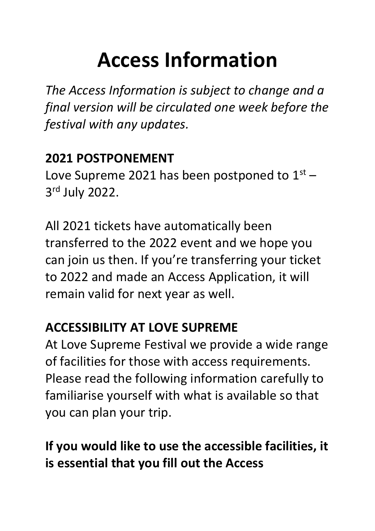# **Access Information**

*The Access Information is subject to change and a final version will be circulated one week before the festival with any updates.*

## **2021 POSTPONEMENT**

Love Supreme 2021 has been postponed to  $1<sup>st</sup>$  – 3 rd July 2022.

All 2021 tickets have automatically been transferred to the 2022 event and we hope you can join us then. If you're transferring your ticket to 2022 and made an Access Application, it will remain valid for next year as well.

## **ACCESSIBILITY AT LOVE SUPREME**

At Love Supreme Festival we provide a wide range of facilities for those with access requirements. Please read the following information carefully to familiarise yourself with what is available so that you can plan your trip.

# **If you would like to use the accessible facilities, it is essential that you fill out the Access**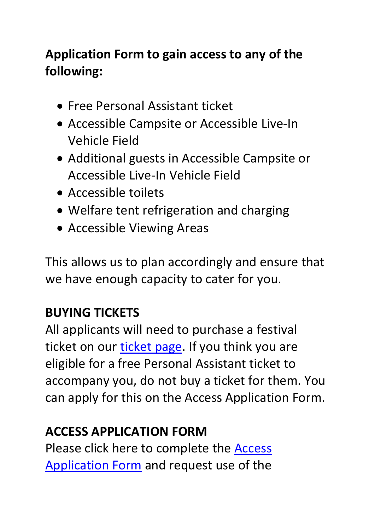# **Application Form to gain access to any of the following:**

- Free Personal Assistant ticket
- Accessible Campsite or Accessible Live-In Vehicle Field
- Additional guests in Accessible Campsite or Accessible Live-In Vehicle Field
- Accessible toilets
- Welfare tent refrigeration and charging
- Accessible Viewing Areas

This allows us to plan accordingly and ensure that we have enough capacity to cater for you.

## **BUYING TICKETS**

All applicants will need to purchase a festival ticket on our [ticket page.](https://lovesupremefestival.com/tickets) If you think you are eligible for a free Personal Assistant ticket to accompany you, do not buy a ticket for them. You can apply for this on the Access Application Form.

#### **ACCESS APPLICATION FORM**

Please click here to complete the [Access](https://forms.office.com/Pages/ResponsePage.aspx?id=4V1cv1RqkUCnL5DjKAFijA77Rc4V0p5JvtkJi7pHem9UMUgwUklRN05SRkdRNDZDTUdKWkpYRDRYRC4u)  [Application Form](https://forms.office.com/Pages/ResponsePage.aspx?id=4V1cv1RqkUCnL5DjKAFijA77Rc4V0p5JvtkJi7pHem9UMUgwUklRN05SRkdRNDZDTUdKWkpYRDRYRC4u) and request use of the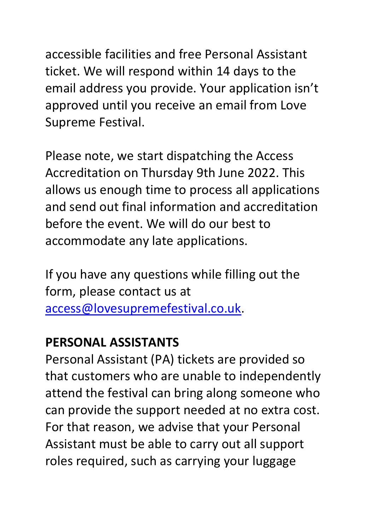accessible facilities and free Personal Assistant ticket. We will respond within 14 days to the email address you provide. Your application isn't approved until you receive an email from Love Supreme Festival.

Please note, we start dispatching the Access Accreditation on Thursday 9th June 2022. This allows us enough time to process all applications and send out final information and accreditation before the event. We will do our best to accommodate any late applications.

If you have any questions while filling out the form, please contact us at [access@lovesupremefestival.co.uk.](mailto:access@lovesupremefestival.co.uk)

#### **PERSONAL ASSISTANTS**

Personal Assistant (PA) tickets are provided so that customers who are unable to independently attend the festival can bring along someone who can provide the support needed at no extra cost. For that reason, we advise that your Personal Assistant must be able to carry out all support roles required, such as carrying your luggage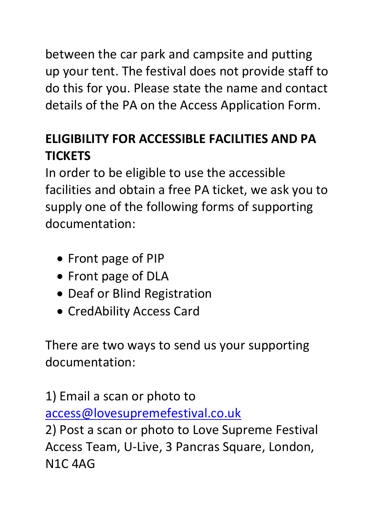between the car park and campsite and putting up your tent. The festival does not provide staff to do this for you. Please state the name and contact details of the PA on the Access Application Form.

# **ELIGIBILITY FOR ACCESSIBLE FACILITIES AND PA TICKETS**

In order to be eligible to use the accessible facilities and obtain a free PA ticket, we ask you to supply one of the following forms of supporting documentation:

- Front page of PIP
- Front page of DLA
- Deaf or Blind Registration
- CredAbility Access Card

There are two ways to send us your supporting documentation:

1) Email a scan or photo to [access@lovesupremefestival.co.uk](mailto:access@lovesupremefestival.co.uk) 2) Post a scan or photo to Love Supreme Festival Access Team, U-Live, 3 Pancras Square, London, N1C 4AG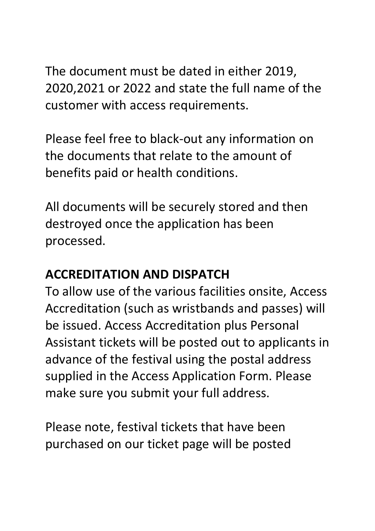The document must be dated in either 2019, 2020,2021 or 2022 and state the full name of the customer with access requirements.

Please feel free to black-out any information on the documents that relate to the amount of benefits paid or health conditions.

All documents will be securely stored and then destroyed once the application has been processed.

## **ACCREDITATION AND DISPATCH**

To allow use of the various facilities onsite, Access Accreditation (such as wristbands and passes) will be issued. Access Accreditation plus Personal Assistant tickets will be posted out to applicants in advance of the festival using the postal address supplied in the Access Application Form. Please make sure you submit your full address.

Please note, festival tickets that have been purchased on our ticket page will be posted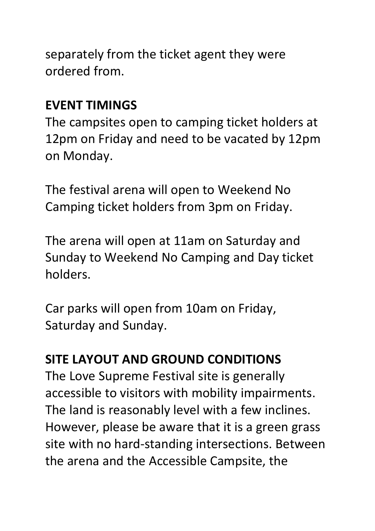separately from the ticket agent they were ordered from.

#### **EVENT TIMINGS**

The campsites open to camping ticket holders at 12pm on Friday and need to be vacated by 12pm on Monday.

The festival arena will open to Weekend No Camping ticket holders from 3pm on Friday.

The arena will open at 11am on Saturday and Sunday to Weekend No Camping and Day ticket holders.

Car parks will open from 10am on Friday, Saturday and Sunday.

#### **SITE LAYOUT AND GROUND CONDITIONS**

The Love Supreme Festival site is generally accessible to visitors with mobility impairments. The land is reasonably level with a few inclines. However, please be aware that it is a green grass site with no hard-standing intersections. Between the arena and the Accessible Campsite, the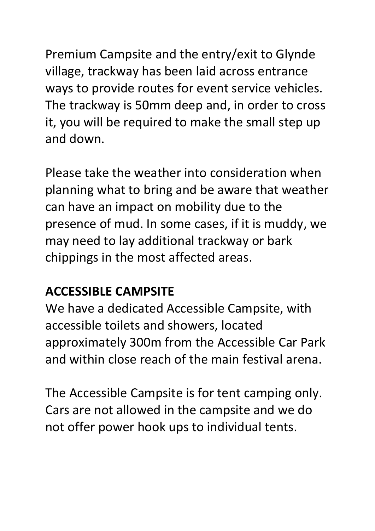Premium Campsite and the entry/exit to Glynde village, trackway has been laid across entrance ways to provide routes for event service vehicles. The trackway is 50mm deep and, in order to cross it, you will be required to make the small step up and down.

Please take the weather into consideration when planning what to bring and be aware that weather can have an impact on mobility due to the presence of mud. In some cases, if it is muddy, we may need to lay additional trackway or bark chippings in the most affected areas.

#### **ACCESSIBLE CAMPSITE**

We have a dedicated Accessible Campsite, with accessible toilets and showers, located approximately 300m from the Accessible Car Park and within close reach of the main festival arena.

The Accessible Campsite is for tent camping only. Cars are not allowed in the campsite and we do not offer power hook ups to individual tents.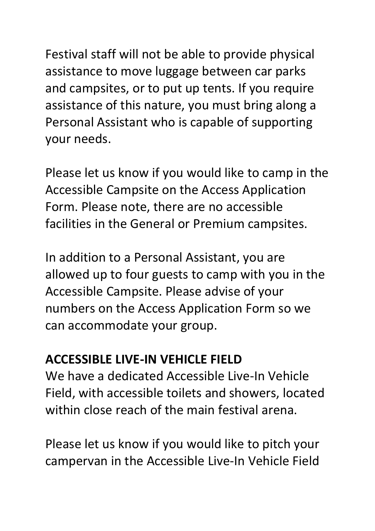Festival staff will not be able to provide physical assistance to move luggage between car parks and campsites, or to put up tents. If you require assistance of this nature, you must bring along a Personal Assistant who is capable of supporting your needs.

Please let us know if you would like to camp in the Accessible Campsite on the Access Application Form. Please note, there are no accessible facilities in the General or Premium campsites.

In addition to a Personal Assistant, you are allowed up to four guests to camp with you in the Accessible Campsite. Please advise of your numbers on the Access Application Form so we can accommodate your group.

## **ACCESSIBLE LIVE-IN VEHICLE FIELD**

We have a dedicated Accessible Live-In Vehicle Field, with accessible toilets and showers, located within close reach of the main festival arena.

Please let us know if you would like to pitch your campervan in the Accessible Live-In Vehicle Field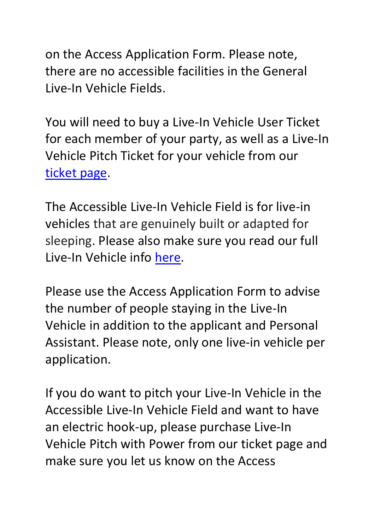on the Access Application Form. Please note, there are no accessible facilities in the General Live-In Vehicle Fields.

You will need to buy a Live-In Vehicle User Ticket for each member of your party, as well as a Live-In Vehicle Pitch Ticket for your vehicle from our [ticket page.](https://lovesupremefestival.com/weekend-tickets/)

The Accessible Live-In Vehicle Field is for live-in vehicles that are genuinely built or adapted for sleeping. Please also make sure you read our full Live-In Vehicle info [here.](https://lovesupremefestival.com/accommodation/)

Please use the Access Application Form to advise the number of people staying in the Live-In Vehicle in addition to the applicant and Personal Assistant. Please note, only one live-in vehicle per application.

If you do want to pitch your Live-In Vehicle in the Accessible Live-In Vehicle Field and want to have an electric hook-up, please purchase Live-In Vehicle Pitch with Power from our ticket page and make sure you let us know on the Access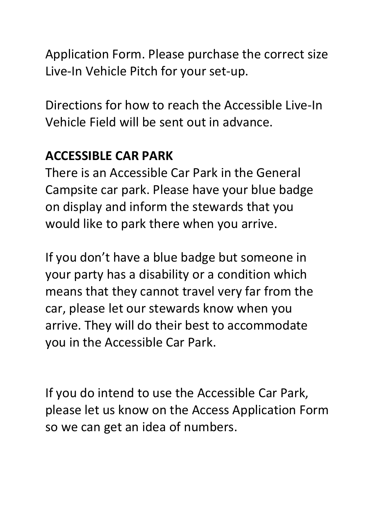Application Form. Please purchase the correct size Live-In Vehicle Pitch for your set-up.

Directions for how to reach the Accessible Live-In Vehicle Field will be sent out in advance.

## **ACCESSIBLE CAR PARK**

There is an Accessible Car Park in the General Campsite car park. Please have your blue badge on display and inform the stewards that you would like to park there when you arrive.

If you don't have a blue badge but someone in your party has a disability or a condition which means that they cannot travel very far from the car, please let our stewards know when you arrive. They will do their best to accommodate you in the Accessible Car Park.

If you do intend to use the Accessible Car Park, please let us know on the Access Application Form so we can get an idea of numbers.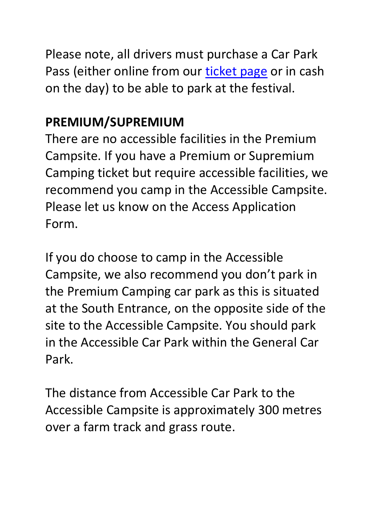Please note, all drivers must purchase a Car Park Pass (either online from our [ticket page](https://lovesupremefestival.com/weekend-tickets/) or in cash on the day) to be able to park at the festival.

#### **PREMIUM/SUPREMIUM**

There are no accessible facilities in the Premium Campsite. If you have a Premium or Supremium Camping ticket but require accessible facilities, we recommend you camp in the Accessible Campsite. Please let us know on the Access Application Form.

If you do choose to camp in the Accessible Campsite, we also recommend you don't park in the Premium Camping car park as this is situated at the South Entrance, on the opposite side of the site to the Accessible Campsite. You should park in the Accessible Car Park within the General Car Park.

The distance from Accessible Car Park to the Accessible Campsite is approximately 300 metres over a farm track and grass route.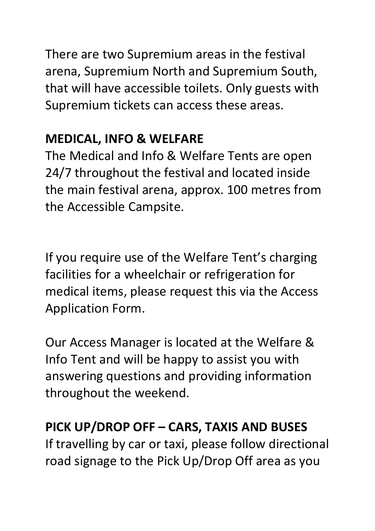There are two Supremium areas in the festival arena, Supremium North and Supremium South, that will have accessible toilets. Only guests with Supremium tickets can access these areas.

## **MEDICAL, INFO & WELFARE**

The Medical and Info & Welfare Tents are open 24/7 throughout the festival and located inside the main festival arena, approx. 100 metres from the Accessible Campsite.

If you require use of the Welfare Tent's charging facilities for a wheelchair or refrigeration for medical items, please request this via the Access Application Form.

Our Access Manager is located at the Welfare & Info Tent and will be happy to assist you with answering questions and providing information throughout the weekend.

## **PICK UP/DROP OFF – CARS, TAXIS AND BUSES**

If travelling by car or taxi, please follow directional road signage to the Pick Up/Drop Off area as you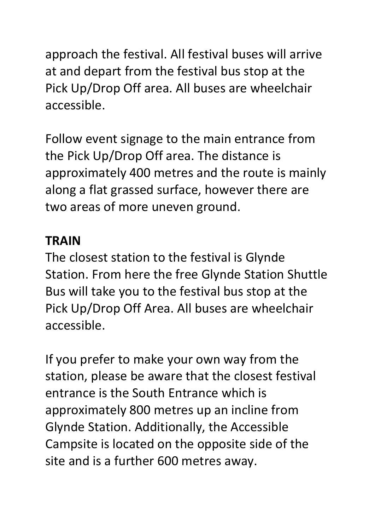approach the festival. All festival buses will arrive at and depart from the festival bus stop at the Pick Up/Drop Off area. All buses are wheelchair accessible.

Follow event signage to the main entrance from the Pick Up/Drop Off area. The distance is approximately 400 metres and the route is mainly along a flat grassed surface, however there are two areas of more uneven ground.

#### **TRAIN**

The closest station to the festival is Glynde Station. From here the free Glynde Station Shuttle Bus will take you to the festival bus stop at the Pick Up/Drop Off Area. All buses are wheelchair accessible.

If you prefer to make your own way from the station, please be aware that the closest festival entrance is the South Entrance which is approximately 800 metres up an incline from Glynde Station. Additionally, the Accessible Campsite is located on the opposite side of the site and is a further 600 metres away.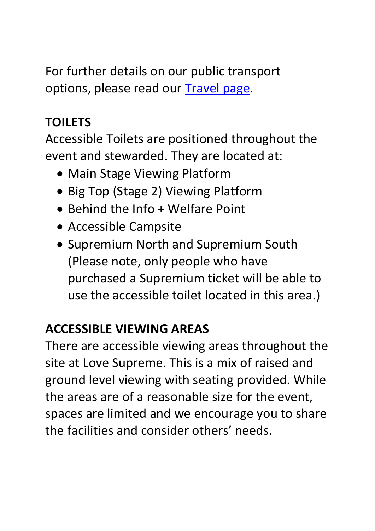For further details on our public transport options, please read our [Travel page.](https://lovesupremefestival.com/info/travel)

# **TOILETS**

Accessible Toilets are positioned throughout the event and stewarded. They are located at:

- Main Stage Viewing Platform
- Big Top (Stage 2) Viewing Platform
- Behind the Info + Welfare Point
- Accessible Campsite
- Supremium North and Supremium South (Please note, only people who have purchased a Supremium ticket will be able to use the accessible toilet located in this area.)

## **ACCESSIBLE VIEWING AREAS**

There are accessible viewing areas throughout the site at Love Supreme. This is a mix of raised and ground level viewing with seating provided. While the areas are of a reasonable size for the event, spaces are limited and we encourage you to share the facilities and consider others' needs.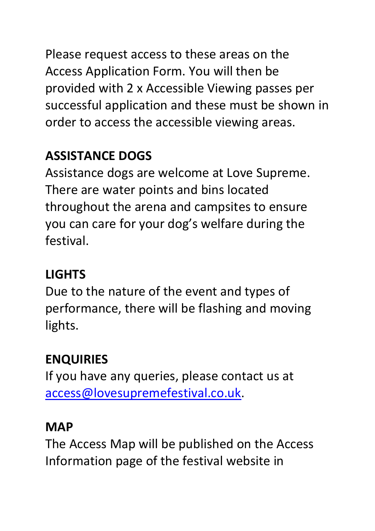Please request access to these areas on the Access Application Form. You will then be provided with 2 x Accessible Viewing passes per successful application and these must be shown in order to access the accessible viewing areas.

# **ASSISTANCE DOGS**

Assistance dogs are welcome at Love Supreme. There are water points and bins located throughout the arena and campsites to ensure you can care for your dog's welfare during the festival.

# **LIGHTS**

Due to the nature of the event and types of performance, there will be flashing and moving lights.

# **ENQUIRIES**

If you have any queries, please contact us at [access@lovesupremefestival.co.uk.](mailto:access@lovesupremefestival.co.uk)

# **MAP**

The Access Map will be published on the Access Information page of the festival website in